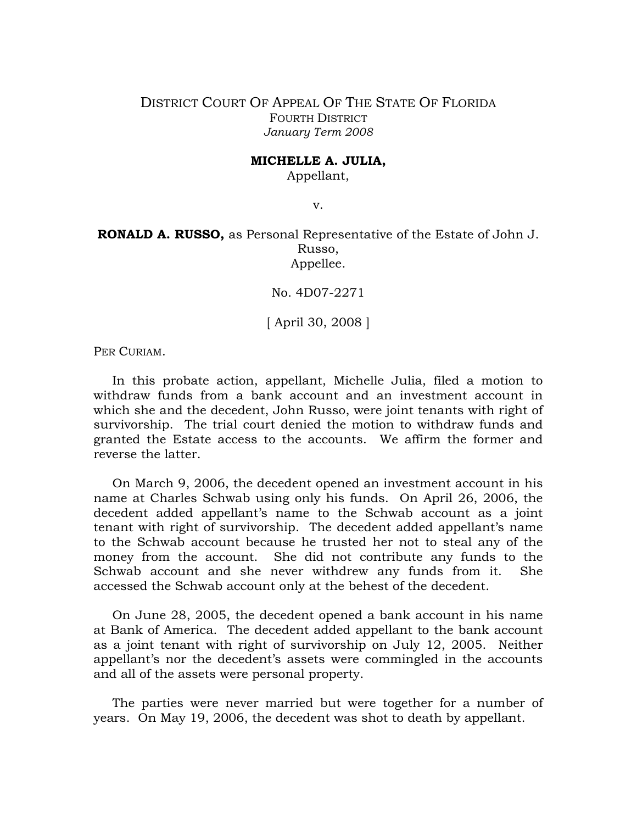DISTRICT COURT OF APPEAL OF THE STATE OF FLORIDA FOURTH DISTRICT *January Term 2008* 

## **MICHELLE A. JULIA,**

Appellant,

v.

**RONALD A. RUSSO,** as Personal Representative of the Estate of John J. Russo, Appellee.

No. 4D07-2271

[ April 30, 2008 ]

PER CURIAM.

In this probate action, appellant, Michelle Julia, filed a motion to withdraw funds from a bank account and an investment account in which she and the decedent, John Russo, were joint tenants with right of survivorship. The trial court denied the motion to withdraw funds and granted the Estate access to the accounts. We affirm the former and reverse the latter.

On March 9, 2006, the decedent opened an investment account in his name at Charles Schwab using only his funds. On April 26, 2006, the decedent added appellant's name to the Schwab account as a joint tenant with right of survivorship. The decedent added appellant's name to the Schwab account because he trusted her not to steal any of the money from the account. She did not contribute any funds to the Schwab account and she never withdrew any funds from it. She accessed the Schwab account only at the behest of the decedent.

On June 28, 2005, the decedent opened a bank account in his name at Bank of America. The decedent added appellant to the bank account as a joint tenant with right of survivorship on July 12, 2005. Neither appellant's nor the decedent's assets were commingled in the accounts and all of the assets were personal property.

The parties were never married but were together for a number of years. On May 19, 2006, the decedent was shot to death by appellant.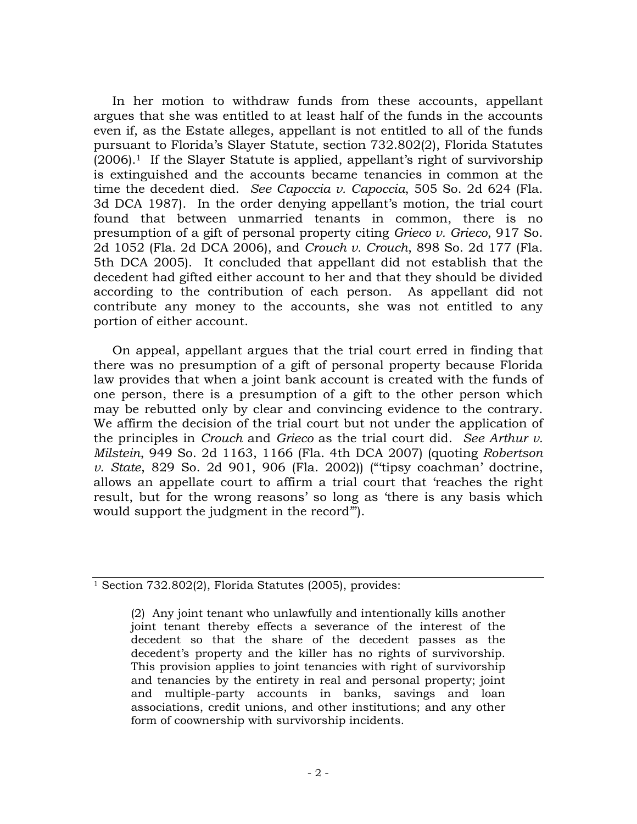In her motion to withdraw funds from these accounts, appellant argues that she was entitled to at least half of the funds in the accounts even if, as the Estate alleges, appellant is not entitled to all of the funds pursuant to Florida's Slayer Statute, section 732.802(2), Florida Statutes  $(2006).$ <sup>1</sup> If the Slayer Statute is applied, appellant's right of survivorship is extinguished and the accounts became tenancies in common at the time the decedent died. *See Capoccia v. Capoccia*, 505 So. 2d 624 (Fla. 3d DCA 1987). In the order denying appellant's motion, the trial court found that between unmarried tenants in common, there is no presumption of a gift of personal property citing *Grieco v. Grieco*, 917 So. 2d 1052 (Fla. 2d DCA 2006), and *Crouch v. Crouch*, 898 So. 2d 177 (Fla. 5th DCA 2005). It concluded that appellant did not establish that the decedent had gifted either account to her and that they should be divided according to the contribution of each person. As appellant did not contribute any money to the accounts, she was not entitled to any portion of either account.

On appeal, appellant argues that the trial court erred in finding that there was no presumption of a gift of personal property because Florida law provides that when a joint bank account is created with the funds of one person, there is a presumption of a gift to the other person which may be rebutted only by clear and convincing evidence to the contrary. We affirm the decision of the trial court but not under the application of the principles in *Crouch* and *Grieco* as the trial court did. *See Arthur v. Milstein*, 949 So. 2d 1163, 1166 (Fla. 4th DCA 2007) (quoting *Robertson v. State*, 829 So. 2d 901, 906 (Fla. 2002)) ("'tipsy coachman' doctrine, allows an appellate court to affirm a trial court that 'reaches the right result, but for the wrong reasons' so long as 'there is any basis which would support the judgment in the record'").

<sup>&</sup>lt;sup>1</sup> Section 732.802(2), Florida Statutes (2005), provides:

<sup>(2)</sup> Any joint tenant who unlawfully and intentionally kills another joint tenant thereby effects a severance of the interest of the decedent so that the share of the decedent passes as the decedent's property and the killer has no rights of survivorship. This provision applies to joint tenancies with right of survivorship and tenancies by the entirety in real and personal property; joint and multiple-party accounts in banks, savings and loan associations, credit unions, and other institutions; and any other form of coownership with survivorship incidents.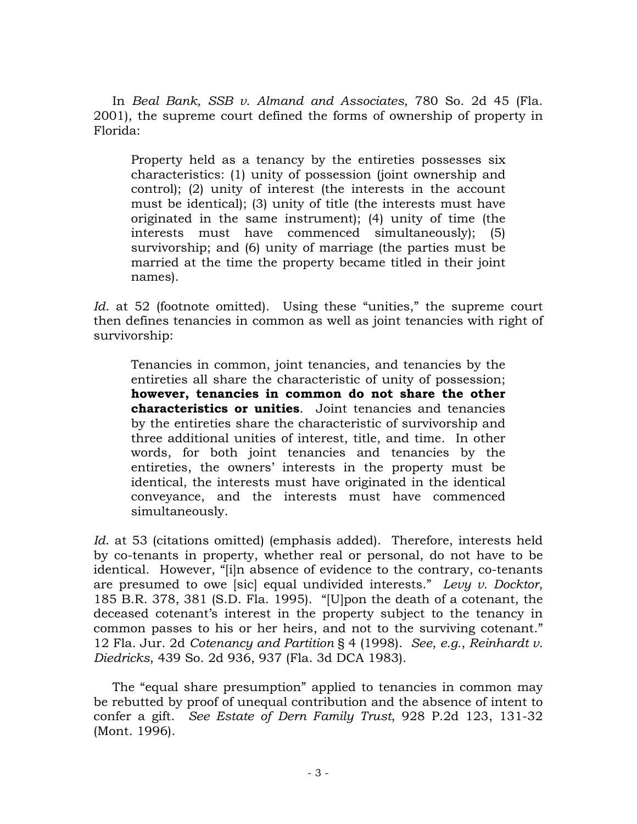In *Beal Bank, SSB v. Almand and Associates*, 780 So. 2d 45 (Fla. 2001), the supreme court defined the forms of ownership of property in Florida:

Property held as a tenancy by the entireties possesses six characteristics: (1) unity of possession (joint ownership and control); (2) unity of interest (the interests in the account must be identical); (3) unity of title (the interests must have originated in the same instrument); (4) unity of time (the interests must have commenced simultaneously); (5) survivorship; and (6) unity of marriage (the parties must be married at the time the property became titled in their joint names).

*Id.* at 52 (footnote omitted). Using these "unities," the supreme court then defines tenancies in common as well as joint tenancies with right of survivorship:

Tenancies in common, joint tenancies, and tenancies by the entireties all share the characteristic of unity of possession; **however, tenancies in common do not share the other characteristics or unities**. Joint tenancies and tenancies by the entireties share the characteristic of survivorship and three additional unities of interest, title, and time. In other words, for both joint tenancies and tenancies by the entireties, the owners' interests in the property must be identical, the interests must have originated in the identical conveyance, and the interests must have commenced simultaneously.

*Id*. at 53 (citations omitted) (emphasis added). Therefore, interests held by co-tenants in property, whether real or personal, do not have to be identical. However, "[i]n absence of evidence to the contrary, co-tenants are presumed to owe [sic] equal undivided interests." *Levy v. Docktor*, 185 B.R. 378, 381 (S.D. Fla. 1995). "[U]pon the death of a cotenant, the deceased cotenant's interest in the property subject to the tenancy in common passes to his or her heirs, and not to the surviving cotenant." 12 Fla. Jur. 2d *Cotenancy and Partition* § 4 (1998). *See*, *e.g.*, *Reinhardt v. Diedricks*, 439 So. 2d 936, 937 (Fla. 3d DCA 1983).

The "equal share presumption" applied to tenancies in common may be rebutted by proof of unequal contribution and the absence of intent to confer a gift. *See Estate of Dern Family Trust*, 928 P.2d 123, 131-32 (Mont. 1996).